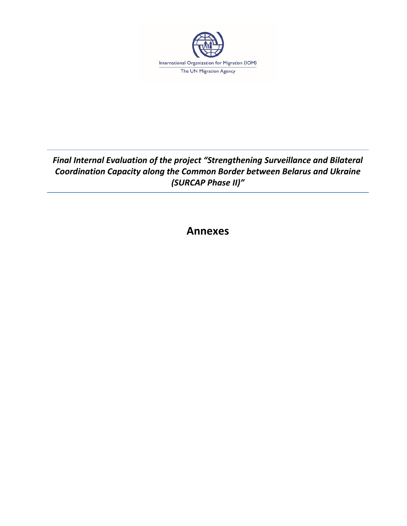

*Final Internal Evaluation of the project "Strengthening Surveillance and Bilateral Coordination Capacity along the Common Border between Belarus and Ukraine (SURCAP Phase II)"*

**Annexes**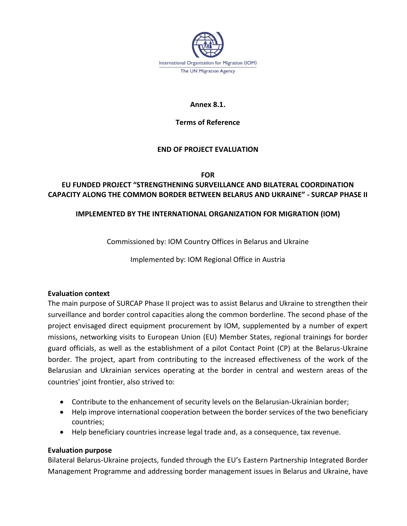

#### **Annex 8.1.**

#### **Terms of Reference**

### **END OF PROJECT EVALUATION**

**FOR**

# **EU FUNDED PROJECT "STRENGTHENING SURVEILLANCE AND BILATERAL COORDINATION CAPACITY ALONG THE COMMON BORDER BETWEEN BELARUS AND UKRAINE" - SURCAP PHASE II**

### **IMPLEMENTED BY THE INTERNATIONAL ORGANIZATION FOR MIGRATION (IOM)**

Commissioned by: IOM Country Offices in Belarus and Ukraine

Implemented by: IOM Regional Office in Austria

#### **Evaluation context**

The main purpose of SURCAP Phase II project was to assist Belarus and Ukraine to strengthen their surveillance and border control capacities along the common borderline. The second phase of the project envisaged direct equipment procurement by IOM, supplemented by a number of expert missions, networking visits to European Union (EU) Member States, regional trainings for border guard officials, as well as the establishment of a pilot Contact Point (CP) at the Belarus-Ukraine border. The project, apart from contributing to the increased effectiveness of the work of the Belarusian and Ukrainian services operating at the border in central and western areas of the countries' joint frontier, also strived to:

- Contribute to the enhancement of security levels on the Belarusian-Ukrainian border;
- Help improve international cooperation between the border services of the two beneficiary countries;
- Help beneficiary countries increase legal trade and, as a consequence, tax revenue.

#### **Evaluation purpose**

Bilateral Belarus-Ukraine projects, funded through the EU's Eastern Partnership Integrated Border Management Programme and addressing border management issues in Belarus and Ukraine, have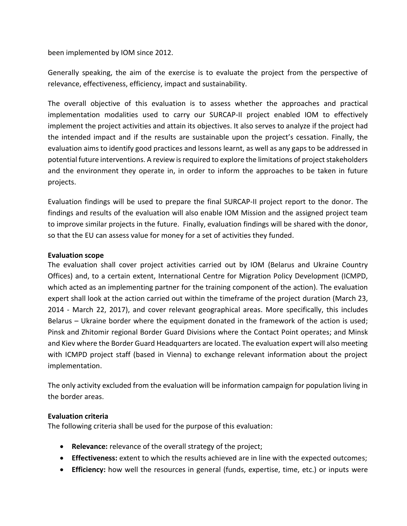been implemented by IOM since 2012.

Generally speaking, the aim of the exercise is to evaluate the project from the perspective of relevance, effectiveness, efficiency, impact and sustainability.

The overall objective of this evaluation is to assess whether the approaches and practical implementation modalities used to carry our SURCAP-II project enabled IOM to effectively implement the project activities and attain its objectives. It also serves to analyze if the project had the intended impact and if the results are sustainable upon the project's cessation. Finally, the evaluation aims to identify good practices and lessons learnt, as well as any gaps to be addressed in potential future interventions. A review is required to explore the limitations of project stakeholders and the environment they operate in, in order to inform the approaches to be taken in future projects.

Evaluation findings will be used to prepare the final SURCAP-II project report to the donor. The findings and results of the evaluation will also enable IOM Mission and the assigned project team to improve similar projects in the future. Finally, evaluation findings will be shared with the donor, so that the EU can assess value for money for a set of activities they funded.

#### **Evaluation scope**

The evaluation shall cover project activities carried out by IOM (Belarus and Ukraine Country Offices) and, to a certain extent, International Centre for Migration Policy Development (ICMPD, which acted as an implementing partner for the training component of the action). The evaluation expert shall look at the action carried out within the timeframe of the project duration (March 23, 2014 - March 22, 2017), and cover relevant geographical areas. More specifically, this includes Belarus – Ukraine border where the equipment donated in the framework of the action is used; Pinsk and Zhitomir regional Border Guard Divisions where the Contact Point operates; and Minsk and Kiev where the Border Guard Headquarters are located. The evaluation expert will also meeting with ICMPD project staff (based in Vienna) to exchange relevant information about the project implementation.

The only activity excluded from the evaluation will be information campaign for population living in the border areas.

#### **Evaluation criteria**

The following criteria shall be used for the purpose of this evaluation:

- **Relevance:** relevance of the overall strategy of the project;
- **Effectiveness:** extent to which the results achieved are in line with the expected outcomes;
- **Efficiency:** how well the resources in general (funds, expertise, time, etc.) or inputs were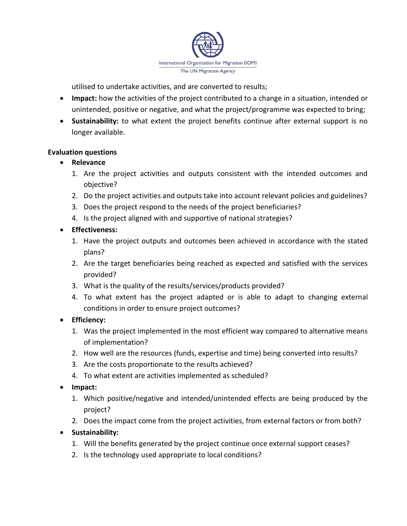

utilised to undertake activities, and are converted to results;

- **Impact:** how the activities of the project contributed to a change in a situation, intended or unintended, positive or negative, and what the project/programme was expected to bring;
- **Sustainability:** to what extent the project benefits continue after external support is no longer available.

#### **Evaluation questions**

#### **Relevance**

- 1. Are the project activities and outputs consistent with the intended outcomes and objective?
- 2. Do the project activities and outputs take into account relevant policies and guidelines?
- 3. Does the project respond to the needs of the project beneficiaries?
- 4. Is the project aligned with and supportive of national strategies?

#### **Effectiveness:**

- 1. Have the project outputs and outcomes been achieved in accordance with the stated plans?
- 2. Are the target beneficiaries being reached as expected and satisfied with the services provided?
- 3. What is the quality of the results/services/products provided?
- 4. To what extent has the project adapted or is able to adapt to changing external conditions in order to ensure project outcomes?

### **Efficiency:**

- 1. Was the project implemented in the most efficient way compared to alternative means of implementation?
- 2. How well are the resources (funds, expertise and time) being converted into results?
- 3. Are the costs proportionate to the results achieved?
- 4. To what extent are activities implemented as scheduled?
- **Impact:**
	- 1. Which positive/negative and intended/unintended effects are being produced by the project?
	- 2. Does the impact come from the project activities, from external factors or from both?

### **Sustainability:**

- 1. Will the benefits generated by the project continue once external support ceases?
- 2. Is the technology used appropriate to local conditions?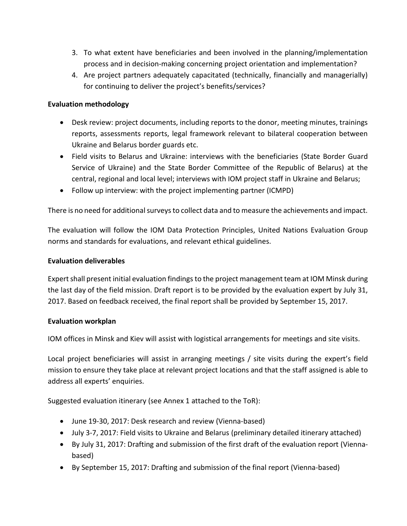- 3. To what extent have beneficiaries and been involved in the planning/implementation process and in decision-making concerning project orientation and implementation?
- 4. Are project partners adequately capacitated (technically, financially and managerially) for continuing to deliver the project's benefits/services?

### **Evaluation methodology**

- Desk review: project documents, including reports to the donor, meeting minutes, trainings reports, assessments reports, legal framework relevant to bilateral cooperation between Ukraine and Belarus border guards etc.
- Field visits to Belarus and Ukraine: interviews with the beneficiaries (State Border Guard Service of Ukraine) and the State Border Committee of the Republic of Belarus) at the central, regional and local level; interviews with IOM project staff in Ukraine and Belarus;
- Follow up interview: with the project implementing partner (ICMPD)

There is no need for additional surveys to collect data and to measure the achievements and impact.

The evaluation will follow the IOM Data Protection Principles, United Nations Evaluation Group norms and standards for evaluations, and relevant ethical guidelines.

### **Evaluation deliverables**

Expert shall present initial evaluation findings to the project management team at IOM Minsk during the last day of the field mission. Draft report is to be provided by the evaluation expert by July 31, 2017. Based on feedback received, the final report shall be provided by September 15, 2017.

### **Evaluation workplan**

IOM offices in Minsk and Kiev will assist with logistical arrangements for meetings and site visits.

Local project beneficiaries will assist in arranging meetings / site visits during the expert's field mission to ensure they take place at relevant project locations and that the staff assigned is able to address all experts' enquiries.

Suggested evaluation itinerary (see Annex 1 attached to the ToR):

- June 19-30, 2017: Desk research and review (Vienna-based)
- July 3-7, 2017: Field visits to Ukraine and Belarus (preliminary detailed itinerary attached)
- By July 31, 2017: Drafting and submission of the first draft of the evaluation report (Viennabased)
- By September 15, 2017: Drafting and submission of the final report (Vienna-based)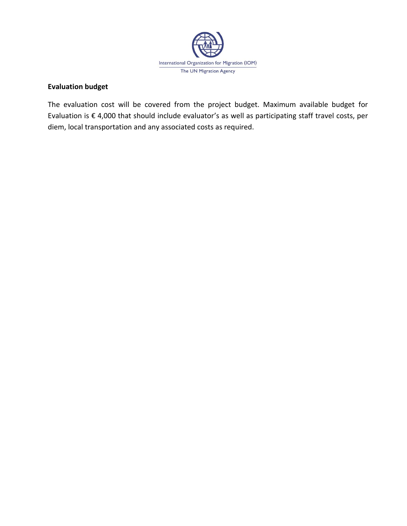

### **Evaluation budget**

The evaluation cost will be covered from the project budget. Maximum available budget for Evaluation is € 4,000 that should include evaluator's as well as participating staff travel costs, per diem, local transportation and any associated costs as required.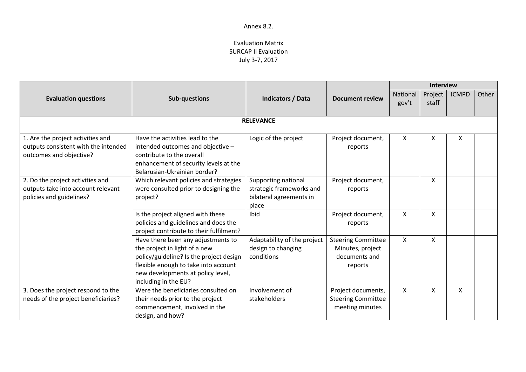|                                                                                                      |                                                                                                                                                                                                                     |                                                                                     | <b>Interview</b>                                                          |                   |                  |              |       |
|------------------------------------------------------------------------------------------------------|---------------------------------------------------------------------------------------------------------------------------------------------------------------------------------------------------------------------|-------------------------------------------------------------------------------------|---------------------------------------------------------------------------|-------------------|------------------|--------------|-------|
| <b>Evaluation questions</b>                                                                          | Sub-questions                                                                                                                                                                                                       | <b>Indicators / Data</b>                                                            | <b>Document review</b>                                                    | National<br>gov't | Project<br>staff | <b>ICMPD</b> | Other |
|                                                                                                      |                                                                                                                                                                                                                     | <b>RELEVANCE</b>                                                                    |                                                                           |                   |                  |              |       |
| 1. Are the project activities and<br>outputs consistent with the intended<br>outcomes and objective? | Have the activities lead to the<br>intended outcomes and objective -<br>contribute to the overall<br>enhancement of security levels at the<br>Belarusian-Ukrainian border?                                          | Logic of the project                                                                | Project document,<br>reports                                              | X                 | X                | X            |       |
| 2. Do the project activities and<br>outputs take into account relevant<br>policies and guidelines?   | Which relevant policies and strategies<br>were consulted prior to designing the<br>project?                                                                                                                         | Supporting national<br>strategic frameworks and<br>bilateral agreements in<br>place | Project document,<br>reports                                              |                   | X                |              |       |
|                                                                                                      | Is the project aligned with these<br>policies and guidelines and does the<br>project contribute to their fulfilment?                                                                                                | Ibid                                                                                | Project document,<br>reports                                              | $\mathsf{X}$      | X                |              |       |
|                                                                                                      | Have there been any adjustments to<br>the project in light of a new<br>policy/guideline? Is the project design<br>flexible enough to take into account<br>new developments at policy level,<br>including in the EU? | Adaptability of the project<br>design to changing<br>conditions                     | <b>Steering Committee</b><br>Minutes, project<br>documents and<br>reports | $\mathsf{X}$      | X                |              |       |
| 3. Does the project respond to the<br>needs of the project beneficiaries?                            | Were the beneficiaries consulted on<br>their needs prior to the project<br>commencement, involved in the<br>design, and how?                                                                                        | Involvement of<br>stakeholders                                                      | Project documents,<br><b>Steering Committee</b><br>meeting minutes        | X                 | X                | X            |       |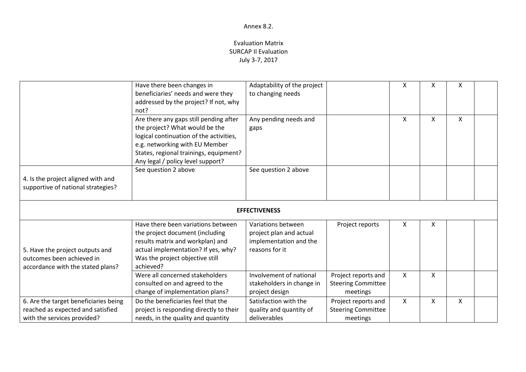|                                                                                                           | Have there been changes in<br>beneficiaries' needs and were they<br>addressed by the project? If not, why<br>not?                                                                                                                    | Adaptability of the project<br>to changing needs                                          |                                                              | X            | x | Χ |  |
|-----------------------------------------------------------------------------------------------------------|--------------------------------------------------------------------------------------------------------------------------------------------------------------------------------------------------------------------------------------|-------------------------------------------------------------------------------------------|--------------------------------------------------------------|--------------|---|---|--|
|                                                                                                           | Are there any gaps still pending after<br>the project? What would be the<br>logical continuation of the activities,<br>e.g. networking with EU Member<br>States, regional trainings, equipment?<br>Any legal / policy level support? | Any pending needs and<br>gaps                                                             |                                                              | X            | X | X |  |
| 4. Is the project aligned with and<br>supportive of national strategies?                                  | See question 2 above                                                                                                                                                                                                                 | See question 2 above                                                                      |                                                              |              |   |   |  |
|                                                                                                           |                                                                                                                                                                                                                                      | <b>EFFECTIVENESS</b>                                                                      |                                                              |              |   |   |  |
| 5. Have the project outputs and<br>outcomes been achieved in<br>accordance with the stated plans?         | Have there been variations between<br>the project document (including<br>results matrix and workplan) and<br>actual implementation? If yes, why?<br>Was the project objective still<br>achieved?                                     | Variations between<br>project plan and actual<br>implementation and the<br>reasons for it | Project reports                                              | X            | x |   |  |
|                                                                                                           | Were all concerned stakeholders<br>consulted on and agreed to the<br>change of implementation plans?                                                                                                                                 | Involvement of national<br>stakeholders in change in<br>project design                    | Project reports and<br><b>Steering Committee</b><br>meetings | X            | X |   |  |
| 6. Are the target beneficiaries being<br>reached as expected and satisfied<br>with the services provided? | Do the beneficiaries feel that the<br>project is responding directly to their<br>needs, in the quality and quantity                                                                                                                  | Satisfaction with the<br>quality and quantity of<br>deliverables                          | Project reports and<br><b>Steering Committee</b><br>meetings | $\mathsf{x}$ | X | X |  |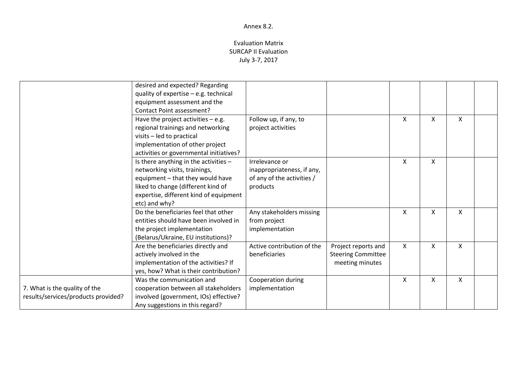|                                                                      | desired and expected? Regarding<br>quality of expertise - e.g. technical<br>equipment assessment and the<br><b>Contact Point assessment?</b>                                                                |                                                                                        |                                                                     |                           |   |   |  |
|----------------------------------------------------------------------|-------------------------------------------------------------------------------------------------------------------------------------------------------------------------------------------------------------|----------------------------------------------------------------------------------------|---------------------------------------------------------------------|---------------------------|---|---|--|
|                                                                      | Have the project activities $-$ e.g.<br>regional trainings and networking<br>visits - led to practical<br>implementation of other project<br>activities or governmental initiatives?                        | Follow up, if any, to<br>project activities                                            |                                                                     | X                         | X | X |  |
|                                                                      | Is there anything in the activities -<br>networking visits, trainings,<br>equipment - that they would have<br>liked to change (different kind of<br>expertise, different kind of equipment<br>etc) and why? | Irrelevance or<br>inappropriateness, if any,<br>of any of the activities /<br>products |                                                                     | $\boldsymbol{\mathsf{X}}$ | X |   |  |
|                                                                      | Do the beneficiaries feel that other<br>entities should have been involved in<br>the project implementation<br>(Belarus/Ukraine, EU institutions)?                                                          | Any stakeholders missing<br>from project<br>implementation                             |                                                                     | X                         | X | X |  |
|                                                                      | Are the beneficiaries directly and<br>actively involved in the<br>implementation of the activities? If<br>yes, how? What is their contribution?                                                             | Active contribution of the<br>beneficiaries                                            | Project reports and<br><b>Steering Committee</b><br>meeting minutes | X                         | X | X |  |
| 7. What is the quality of the<br>results/services/products provided? | Was the communication and<br>cooperation between all stakeholders<br>involved (government, IOs) effective?<br>Any suggestions in this regard?                                                               | Cooperation during<br>implementation                                                   |                                                                     | X                         | X | X |  |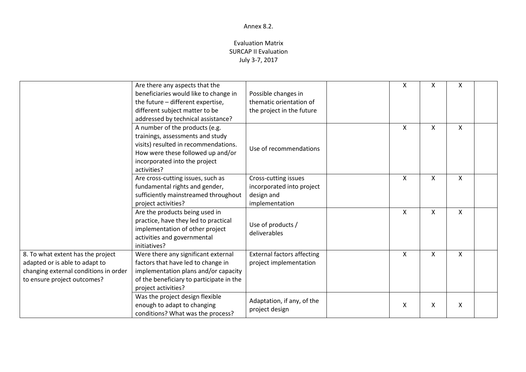|                                                                                                                                             | Are there any aspects that the<br>beneficiaries would like to change in<br>the future - different expertise,<br>different subject matter to be<br>addressed by technical assistance?            | Possible changes in<br>thematic orientation of<br>the project in the future       | X                         | x | X |  |
|---------------------------------------------------------------------------------------------------------------------------------------------|-------------------------------------------------------------------------------------------------------------------------------------------------------------------------------------------------|-----------------------------------------------------------------------------------|---------------------------|---|---|--|
|                                                                                                                                             | A number of the products (e.g.<br>trainings, assessments and study<br>visits) resulted in recommendations.<br>How were these followed up and/or<br>incorporated into the project<br>activities? | Use of recommendations                                                            | X                         | X | X |  |
|                                                                                                                                             | Are cross-cutting issues, such as<br>fundamental rights and gender,<br>sufficiently mainstreamed throughout<br>project activities?                                                              | Cross-cutting issues<br>incorporated into project<br>design and<br>implementation | $\boldsymbol{\mathsf{X}}$ | X | Χ |  |
|                                                                                                                                             | Are the products being used in<br>practice, have they led to practical<br>implementation of other project<br>activities and governmental<br>initiatives?                                        | Use of products /<br>deliverables                                                 | $\mathsf{x}$              | X | X |  |
| 8. To what extent has the project<br>adapted or is able to adapt to<br>changing external conditions in order<br>to ensure project outcomes? | Were there any significant external<br>factors that have led to change in<br>implementation plans and/or capacity<br>of the beneficiary to participate in the<br>project activities?            | <b>External factors affecting</b><br>project implementation                       | $\boldsymbol{\mathsf{X}}$ | X | X |  |
|                                                                                                                                             | Was the project design flexible<br>enough to adapt to changing<br>conditions? What was the process?                                                                                             | Adaptation, if any, of the<br>project design                                      | X                         | X | X |  |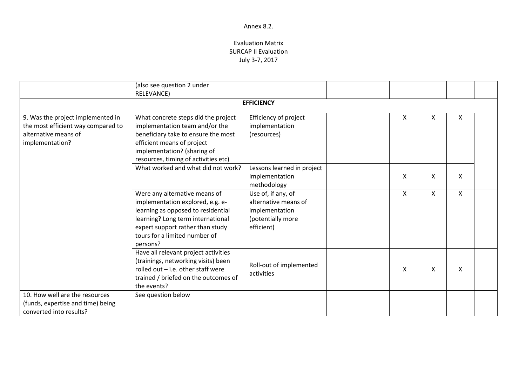|                                                                                                                    | (also see question 2 under                                                                                                                                                                                                    |                                                                                                 |   |   |   |  |
|--------------------------------------------------------------------------------------------------------------------|-------------------------------------------------------------------------------------------------------------------------------------------------------------------------------------------------------------------------------|-------------------------------------------------------------------------------------------------|---|---|---|--|
|                                                                                                                    | <b>RELEVANCE)</b>                                                                                                                                                                                                             | <b>EFFICIENCY</b>                                                                               |   |   |   |  |
|                                                                                                                    |                                                                                                                                                                                                                               |                                                                                                 |   |   |   |  |
| 9. Was the project implemented in<br>the most efficient way compared to<br>alternative means of<br>implementation? | What concrete steps did the project<br>implementation team and/or the<br>beneficiary take to ensure the most<br>efficient means of project<br>implementation? (sharing of<br>resources, timing of activities etc)             | Efficiency of project<br>implementation<br>(resources)                                          | X | X | X |  |
|                                                                                                                    | What worked and what did not work?                                                                                                                                                                                            | Lessons learned in project<br>implementation<br>methodology                                     | X | X | X |  |
|                                                                                                                    | Were any alternative means of<br>implementation explored, e.g. e-<br>learning as opposed to residential<br>learning? Long term international<br>expert support rather than study<br>tours for a limited number of<br>persons? | Use of, if any, of<br>alternative means of<br>implementation<br>(potentially more<br>efficient) | X | X | X |  |
|                                                                                                                    | Have all relevant project activities<br>(trainings, networking visits) been<br>rolled out $-$ i.e. other staff were<br>trained / briefed on the outcomes of<br>the events?                                                    | Roll-out of implemented<br>activities                                                           | X | X | X |  |
| 10. How well are the resources<br>(funds, expertise and time) being<br>converted into results?                     | See question below                                                                                                                                                                                                            |                                                                                                 |   |   |   |  |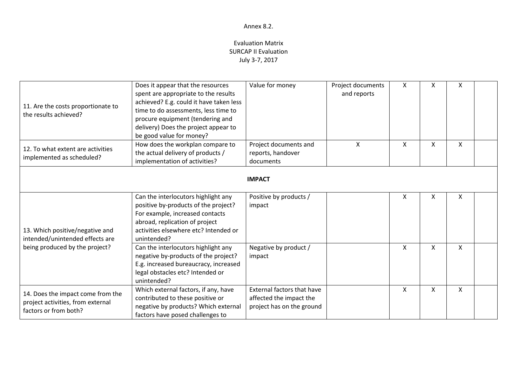| 11. Are the costs proportionate to<br>the results achieved?                                     | Does it appear that the resources<br>spent are appropriate to the results<br>achieved? E.g. could it have taken less<br>time to do assessments, less time to<br>procure equipment (tendering and<br>delivery) Does the project appear to<br>be good value for money? | Value for money                                                                    | Project documents<br>and reports | X | x | Χ  |  |
|-------------------------------------------------------------------------------------------------|----------------------------------------------------------------------------------------------------------------------------------------------------------------------------------------------------------------------------------------------------------------------|------------------------------------------------------------------------------------|----------------------------------|---|---|----|--|
| 12. To what extent are activities<br>implemented as scheduled?                                  | How does the workplan compare to<br>the actual delivery of products /<br>implementation of activities?                                                                                                                                                               | Project documents and<br>reports, handover<br>documents                            | X                                | X | X | X. |  |
|                                                                                                 |                                                                                                                                                                                                                                                                      | <b>IMPACT</b>                                                                      |                                  |   |   |    |  |
| 13. Which positive/negative and<br>intended/unintended effects are                              | Can the interlocutors highlight any<br>positive by-products of the project?<br>For example, increased contacts<br>abroad, replication of project<br>activities elsewhere etc? Intended or<br>unintended?                                                             | Positive by products /<br>impact                                                   |                                  | X | X | X  |  |
| being produced by the project?                                                                  | Can the interlocutors highlight any<br>negative by-products of the project?<br>E.g. increased bureaucracy, increased<br>legal obstacles etc? Intended or<br>unintended?                                                                                              | Negative by product /<br>impact                                                    |                                  | X | x | X. |  |
| 14. Does the impact come from the<br>project activities, from external<br>factors or from both? | Which external factors, if any, have<br>contributed to these positive or<br>negative by products? Which external<br>factors have posed challenges to                                                                                                                 | External factors that have<br>affected the impact the<br>project has on the ground |                                  | X | X | X  |  |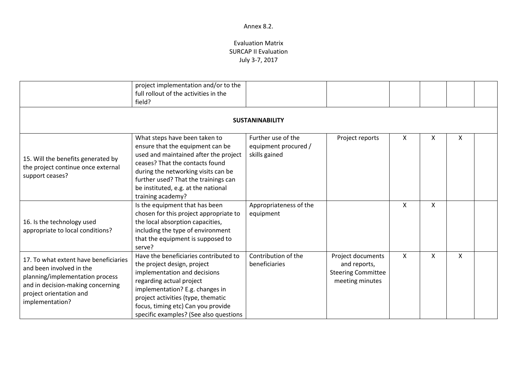|                                                                                                                                                                                         | project implementation and/or to the<br>full rollout of the activities in the<br>field?                                                                                                                                                                                                   |                                                             |                                                                                   |   |   |   |  |
|-----------------------------------------------------------------------------------------------------------------------------------------------------------------------------------------|-------------------------------------------------------------------------------------------------------------------------------------------------------------------------------------------------------------------------------------------------------------------------------------------|-------------------------------------------------------------|-----------------------------------------------------------------------------------|---|---|---|--|
|                                                                                                                                                                                         |                                                                                                                                                                                                                                                                                           | <b>SUSTANINABILITY</b>                                      |                                                                                   |   |   |   |  |
| 15. Will the benefits generated by<br>the project continue once external<br>support ceases?                                                                                             | What steps have been taken to<br>ensure that the equipment can be<br>used and maintained after the project<br>ceases? That the contacts found<br>during the networking visits can be<br>further used? That the trainings can<br>be instituted, e.g. at the national<br>training academy?  | Further use of the<br>equipment procured /<br>skills gained | Project reports                                                                   | X | X | x |  |
| 16. Is the technology used<br>appropriate to local conditions?                                                                                                                          | Is the equipment that has been<br>chosen for this project appropriate to<br>the local absorption capacities,<br>including the type of environment<br>that the equipment is supposed to<br>serve?                                                                                          | Appropriateness of the<br>equipment                         |                                                                                   | X | X |   |  |
| 17. To what extent have beneficiaries<br>and been involved in the<br>planning/implementation process<br>and in decision-making concerning<br>project orientation and<br>implementation? | Have the beneficiaries contributed to<br>the project design, project<br>implementation and decisions<br>regarding actual project<br>implementation? E.g. changes in<br>project activities (type, thematic<br>focus, timing etc) Can you provide<br>specific examples? (See also questions | Contribution of the<br>beneficiaries                        | Project documents<br>and reports,<br><b>Steering Committee</b><br>meeting minutes | X | X | X |  |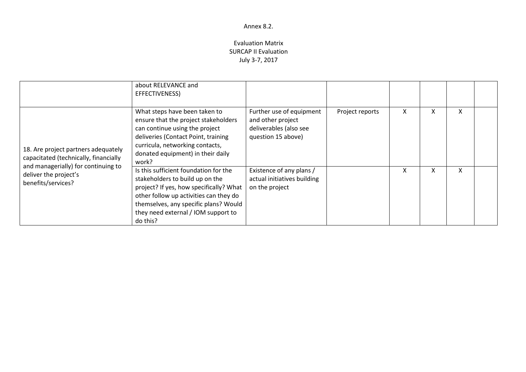|                                                                                                                     | about RELEVANCE and<br>EFFECTIVENESS)                                                                                                                                                                                                                     |                                                                                               |                 |   |   |   |  |
|---------------------------------------------------------------------------------------------------------------------|-----------------------------------------------------------------------------------------------------------------------------------------------------------------------------------------------------------------------------------------------------------|-----------------------------------------------------------------------------------------------|-----------------|---|---|---|--|
| 18. Are project partners adequately<br>capacitated (technically, financially<br>and managerially) for continuing to | What steps have been taken to<br>ensure that the project stakeholders<br>can continue using the project<br>deliveries (Contact Point, training<br>curricula, networking contacts,<br>donated equipment) in their daily<br>work?                           | Further use of equipment<br>and other project<br>deliverables (also see<br>question 15 above) | Project reports | X | x | x |  |
| deliver the project's<br>benefits/services?                                                                         | Is this sufficient foundation for the<br>stakeholders to build up on the<br>project? If yes, how specifically? What<br>other follow up activities can they do<br>themselves, any specific plans? Would<br>they need external / IOM support to<br>do this? | Existence of any plans /<br>actual initiatives building<br>on the project                     |                 | X | X |   |  |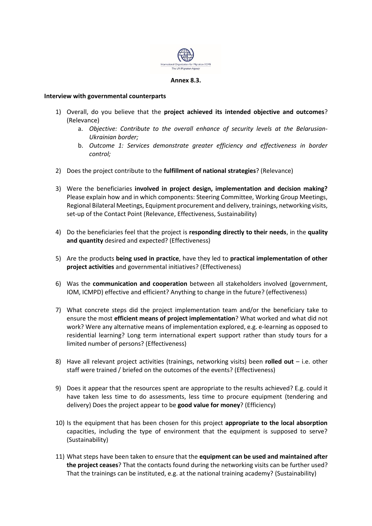

#### **Annex 8.3.**

#### **Interview with governmental counterparts**

- 1) Overall, do you believe that the **project achieved its intended objective and outcomes**? (Relevance)
	- a. *Objective: Contribute to the overall enhance of security levels at the Belarusian-Ukrainian border;*
	- b. *Outcome 1: Services demonstrate greater efficiency and effectiveness in border control;*
- 2) Does the project contribute to the **fulfillment of national strategies**? (Relevance)
- 3) Were the beneficiaries **involved in project design, implementation and decision making?** Please explain how and in which components: Steering Committee, Working Group Meetings, Regional Bilateral Meetings, Equipment procurement and delivery, trainings, networking visits, set-up of the Contact Point (Relevance, Effectiveness, Sustainability)
- 4) Do the beneficiaries feel that the project is **responding directly to their needs**, in the **quality and quantity** desired and expected? (Effectiveness)
- 5) Are the products **being used in practice**, have they led to **practical implementation of other project activities** and governmental initiatives? (Effectiveness)
- 6) Was the **communication and cooperation** between all stakeholders involved (government, IOM, ICMPD) effective and efficient? Anything to change in the future? (effectiveness)
- 7) What concrete steps did the project implementation team and/or the beneficiary take to ensure the most **efficient means of project implementation**? What worked and what did not work? Were any alternative means of implementation explored, e.g. e-learning as opposed to residential learning? Long term international expert support rather than study tours for a limited number of persons? (Effectiveness)
- 8) Have all relevant project activities (trainings, networking visits) been **rolled out** i.e. other staff were trained / briefed on the outcomes of the events? (Effectiveness)
- 9) Does it appear that the resources spent are appropriate to the results achieved? E.g. could it have taken less time to do assessments, less time to procure equipment (tendering and delivery) Does the project appear to be **good value for money**? (Efficiency)
- 10) Is the equipment that has been chosen for this project **appropriate to the local absorption** capacities, including the type of environment that the equipment is supposed to serve? (Sustainability)
- 11) What steps have been taken to ensure that the **equipment can be used and maintained after the project ceases**? That the contacts found during the networking visits can be further used? That the trainings can be instituted, e.g. at the national training academy? (Sustainability)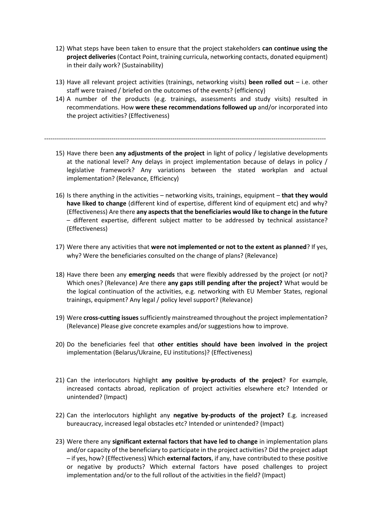- 12) What steps have been taken to ensure that the project stakeholders **can continue using the project deliveries** (Contact Point, training curricula, networking contacts, donated equipment) in their daily work? (Sustainability)
- 13) Have all relevant project activities (trainings, networking visits) **been rolled out** i.e. other staff were trained / briefed on the outcomes of the events? (efficiency)
- 14) A number of the products (e.g. trainings, assessments and study visits) resulted in recommendations. How **were these recommendations followed up** and/or incorporated into the project activities? (Effectiveness)

--------------------------------------------------------------------------------------------------------------------------------------

- 15) Have there been **any adjustments of the project** in light of policy / legislative developments at the national level? Any delays in project implementation because of delays in policy / legislative framework? Any variations between the stated workplan and actual implementation? (Relevance, Efficiency)
- 16) Is there anything in the activities networking visits, trainings, equipment **that they would have liked to change** (different kind of expertise, different kind of equipment etc) and why? (Effectiveness) Are there **any aspects that the beneficiaries would like to change in the future** – different expertise, different subject matter to be addressed by technical assistance? (Effectiveness)
- 17) Were there any activities that **were not implemented or not to the extent as planned**? If yes, why? Were the beneficiaries consulted on the change of plans? (Relevance)
- 18) Have there been any **emerging needs** that were flexibly addressed by the project (or not)? Which ones? (Relevance) Are there **any gaps still pending after the project?** What would be the logical continuation of the activities, e.g. networking with EU Member States, regional trainings, equipment? Any legal / policy level support? (Relevance)
- 19) Were **cross-cutting issues** sufficiently mainstreamed throughout the project implementation? (Relevance) Please give concrete examples and/or suggestions how to improve.
- 20) Do the beneficiaries feel that **other entities should have been involved in the project** implementation (Belarus/Ukraine, EU institutions)? (Effectiveness)
- 21) Can the interlocutors highlight **any positive by-products of the project**? For example, increased contacts abroad, replication of project activities elsewhere etc? Intended or unintended? (Impact)
- 22) Can the interlocutors highlight any **negative by-products of the project?** E.g. increased bureaucracy, increased legal obstacles etc? Intended or unintended? (Impact)
- 23) Were there any **significant external factors that have led to change** in implementation plans and/or capacity of the beneficiary to participate in the project activities? Did the project adapt – if yes, how? (Effectiveness) Which **external factors**, if any, have contributed to these positive or negative by products? Which external factors have posed challenges to project implementation and/or to the full rollout of the activities in the field? (Impact)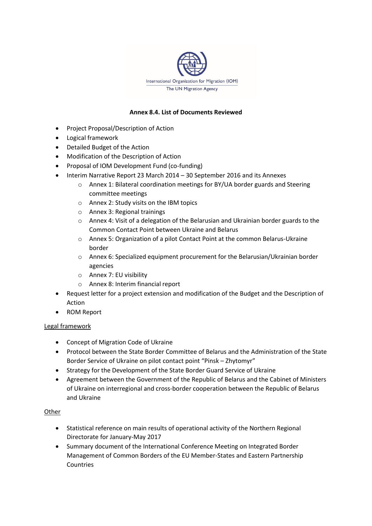

#### **Annex 8.4. List of Documents Reviewed**

- Project Proposal/Description of Action
- Logical framework
- Detailed Budget of the Action
- Modification of the Description of Action
- Proposal of IOM Development Fund (co-funding)
- Interim Narrative Report 23 March 2014 30 September 2016 and its Annexes
	- o Annex 1: Bilateral coordination meetings for BY/UA border guards and Steering committee meetings
	- o Annex 2: Study visits on the IBM topics
	- o Annex 3: Regional trainings
	- o Annex 4: Visit of a delegation of the Belarusian and Ukrainian border guards to the Common Contact Point between Ukraine and Belarus
	- o Annex 5: Organization of a pilot Contact Point at the common Belarus-Ukraine border
	- o Annex 6: Specialized equipment procurement for the Belarusian/Ukrainian border agencies
	- o Annex 7: EU visibility
	- o Annex 8: Interim financial report
- Request letter for a project extension and modification of the Budget and the Description of Action
- ROM Report

#### Legal framework

- Concept of Migration Code of Ukraine
- Protocol between the State Border Committee of Belarus and the Administration of the State Border Service of Ukraine on pilot contact point "Pinsk – Zhytomyr"
- Strategy for the Development of the State Border Guard Service of Ukraine
- Agreement between the Government of the Republic of Belarus and the Cabinet of Ministers of Ukraine on interregional and cross-border cooperation between the Republic of Belarus and Ukraine

#### Other

- Statistical reference on main results of operational activity of the Northern Regional Directorate for January-May 2017
- Summary document of the International Conference Meeting on Integrated Border Management of Common Borders of the EU Member-States and Eastern Partnership Countries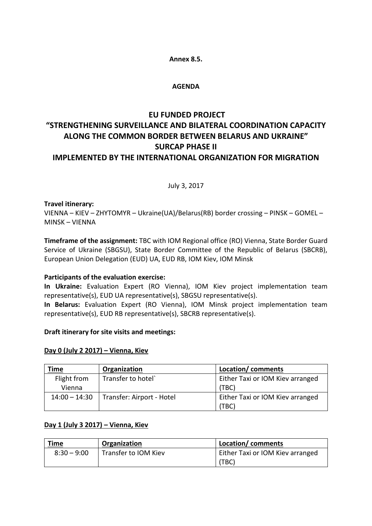#### **Annex 8.5.**

#### **AGENDA**

# **EU FUNDED PROJECT "STRENGTHENING SURVEILLANCE AND BILATERAL COORDINATION CAPACITY ALONG THE COMMON BORDER BETWEEN BELARUS AND UKRAINE" SURCAP PHASE II**

# **IMPLEMENTED BY THE INTERNATIONAL ORGANIZATION FOR MIGRATION**

July 3, 2017

#### **Travel itinerary:**

VIENNA – KIEV – ZHYTOMYR – Ukraine(UA)/Belarus(RB) border crossing – PINSK – GOMEL – MINSK – VIENNA

**Timeframe of the assignment:** TBC with IOM Regional office (RO) Vienna, State Border Guard Service of Ukraine (SBGSU), State Border Committee of the Republic of Belarus (SBCRB), European Union Delegation (EUD) UA, EUD RB, IOM Kiev, IOM Minsk

#### **Participants of the evaluation exercise:**

**In Ukraine:** Evaluation Expert (RO Vienna), IOM Kiev project implementation team representative(s), EUD UA representative(s), SBGSU representative(s).

**In Belarus:** Evaluation Expert (RO Vienna), IOM Minsk project implementation team representative(s), EUD RB representative(s), SBCRB representative(s).

#### **Draft itinerary for site visits and meetings:**

#### **Day 0 (July 2 2017) – Vienna, Kiev**

| <u>Time</u>     | Organization              | Location/comments                |
|-----------------|---------------------------|----------------------------------|
| Flight from     | Transfer to hotel`        | Either Taxi or IOM Kiev arranged |
| Vienna          |                           | (TBC)                            |
| $14:00 - 14:30$ | Transfer: Airport - Hotel | Either Taxi or IOM Kiev arranged |
|                 |                           | (TBC)                            |

#### **Day 1 (July 3 2017) – Vienna, Kiev**

| <b>Time</b>   | Organization         | Location/comments                |
|---------------|----------------------|----------------------------------|
| $8:30 - 9:00$ | Transfer to IOM Kiev | Either Taxi or IOM Kiev arranged |
|               |                      | (TBC)                            |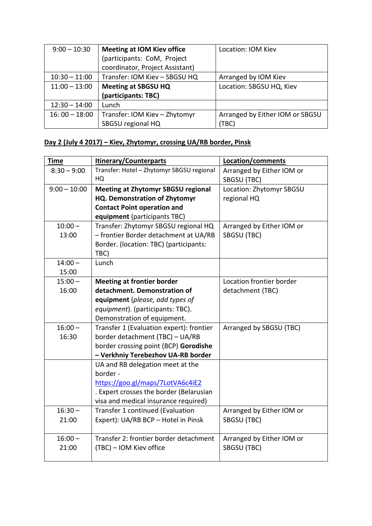| $9:00 - 10:30$  | <b>Meeting at IOM Kiev office</b> | Location: IOM Kiev              |
|-----------------|-----------------------------------|---------------------------------|
|                 | (participants: CoM, Project       |                                 |
|                 | coordinator, Project Assistant)   |                                 |
| $10:30 - 11:00$ | Transfer: IOM Kiev - SBGSU HQ     | Arranged by IOM Kiev            |
| $11:00 - 13:00$ | <b>Meeting at SBGSU HQ</b>        | Location: SBGSU HQ, Kiev        |
|                 | (participants: TBC)               |                                 |
| $12:30 - 14:00$ | Lunch                             |                                 |
| $16:00 - 18:00$ | Transfer: IOM Kiev - Zhytomyr     | Arranged by Either IOM or SBGSU |
|                 | SBGSU regional HQ                 | TBC)                            |

# **Day 2 (July 4 2017) – Kiev, Zhytomyr, crossing UA/RB border, Pinsk**

| <u>Time</u>    | <b>Itinerary/Counterparts</b>             | Location/comments         |
|----------------|-------------------------------------------|---------------------------|
| $8:30 - 9:00$  | Transfer: Hotel - Zhytomyr SBGSU regional | Arranged by Either IOM or |
|                | HQ                                        | SBGSU (TBC)               |
| $9:00 - 10:00$ | <b>Meeting at Zhytomyr SBGSU regional</b> | Location: Zhytomyr SBGSU  |
|                | <b>HQ. Demonstration of Zhytomyr</b>      | regional HQ               |
|                | <b>Contact Point operation and</b>        |                           |
|                | equipment (participants TBC)              |                           |
| $10:00 -$      | Transfer: Zhytomyr SBGSU regional HQ      | Arranged by Either IOM or |
| 13:00          | - frontier Border detachment at UA/RB     | SBGSU (TBC)               |
|                | Border. (location: TBC) (participants:    |                           |
|                | TBC)                                      |                           |
| $14:00 -$      | Lunch                                     |                           |
| 15:00          |                                           |                           |
| $15:00 -$      | <b>Meeting at frontier border</b>         | Location frontier border  |
| 16:00          | detachment. Demonstration of              | detachment (TBC)          |
|                | equipment (please, add types of           |                           |
|                | equipment). (participants: TBC).          |                           |
|                | Demonstration of equipment.               |                           |
| $16:00 -$      | Transfer 1 (Evaluation expert): frontier  | Arranged by SBGSU (TBC)   |
| 16:30          | border detachment (TBC) - UA/RB           |                           |
|                | border crossing point (BCP) Gorodishe     |                           |
|                | - Verkhniy Terebezhov UA-RB border        |                           |
|                | UA and RB delegation meet at the          |                           |
|                | border -                                  |                           |
|                | https://goo.gl/maps/7LotVA6c4iE2          |                           |
|                | . Expert crosses the border (Belarusian   |                           |
|                | visa and medical insurance required)      |                           |
| $16:30 -$      | <b>Transfer 1 continued (Evaluation</b>   | Arranged by Either IOM or |
| 21:00          | Expert): UA/RB BCP - Hotel in Pinsk       | SBGSU (TBC)               |
|                |                                           |                           |
| $16:00 -$      | Transfer 2: frontier border detachment    | Arranged by Either IOM or |
| 21:00          | (TBC) - IOM Kiev office                   | SBGSU (TBC)               |
|                |                                           |                           |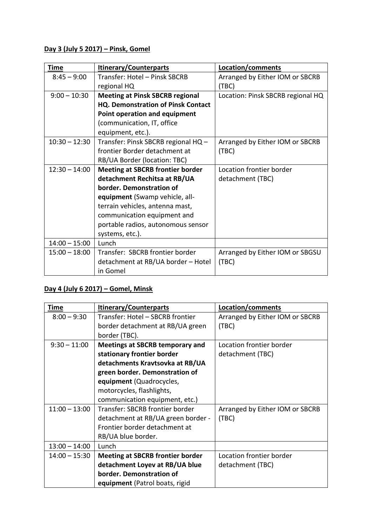### **Day 3 (July 5 2017) – Pinsk, Gomel**

| Time            | <b>Itinerary/Counterparts</b>             | Location/comments                 |
|-----------------|-------------------------------------------|-----------------------------------|
| $8:45 - 9:00$   | Transfer: Hotel – Pinsk SBCRB             | Arranged by Either IOM or SBCRB   |
|                 | regional HQ                               | (TBC)                             |
| $9:00 - 10:30$  | <b>Meeting at Pinsk SBCRB regional</b>    | Location: Pinsk SBCRB regional HQ |
|                 | <b>HQ. Demonstration of Pinsk Contact</b> |                                   |
|                 | Point operation and equipment             |                                   |
|                 | (communication, IT, office                |                                   |
|                 | equipment, etc.).                         |                                   |
| $10:30 - 12:30$ | Transfer: Pinsk SBCRB regional HQ -       | Arranged by Either IOM or SBCRB   |
|                 | frontier Border detachment at             | (TBC)                             |
|                 | RB/UA Border (location: TBC)              |                                   |
| $12:30 - 14:00$ | <b>Meeting at SBCRB frontier border</b>   | Location frontier border          |
|                 | detachment Rechitsa at RB/UA              | detachment (TBC)                  |
|                 | border. Demonstration of                  |                                   |
|                 | equipment (Swamp vehicle, all-            |                                   |
|                 | terrain vehicles, antenna mast,           |                                   |
|                 | communication equipment and               |                                   |
|                 | portable radios, autonomous sensor        |                                   |
|                 | systems, etc.).                           |                                   |
| $14:00 - 15:00$ | Lunch                                     |                                   |
| $15:00 - 18:00$ | Transfer: SBCRB frontier border           | Arranged by Either IOM or SBGSU   |
|                 | detachment at RB/UA border - Hotel        | (TBC)                             |
|                 | in Gomel                                  |                                   |

# **Day 4 (July 6 2017) – Gomel, Minsk**

| <b>Time</b>     | <b>Itinerary/Counterparts</b>           | Location/comments               |
|-----------------|-----------------------------------------|---------------------------------|
| $8:00 - 9:30$   | Transfer: Hotel - SBCRB frontier        | Arranged by Either IOM or SBCRB |
|                 | border detachment at RB/UA green        | (TBC)                           |
|                 | border (TBC).                           |                                 |
| $9:30 - 11:00$  | <b>Meetings at SBCRB temporary and</b>  | Location frontier border        |
|                 | stationary frontier border              | detachment (TBC)                |
|                 | detachments Kravtsovka at RB/UA         |                                 |
|                 | green border. Demonstration of          |                                 |
|                 | equipment (Quadrocycles,                |                                 |
|                 | motorcycles, flashlights,               |                                 |
|                 | communication equipment, etc.)          |                                 |
| $11:00 - 13:00$ | Transfer: SBCRB frontier border         | Arranged by Either IOM or SBCRB |
|                 | detachment at RB/UA green border -      | (TBC)                           |
|                 | Frontier border detachment at           |                                 |
|                 | RB/UA blue border.                      |                                 |
| $13:00 - 14:00$ | Lunch                                   |                                 |
| $14:00 - 15:30$ | <b>Meeting at SBCRB frontier border</b> | Location frontier border        |
|                 | detachment Loyev at RB/UA blue          | detachment (TBC)                |
|                 | border. Demonstration of                |                                 |
|                 | equipment (Patrol boats, rigid          |                                 |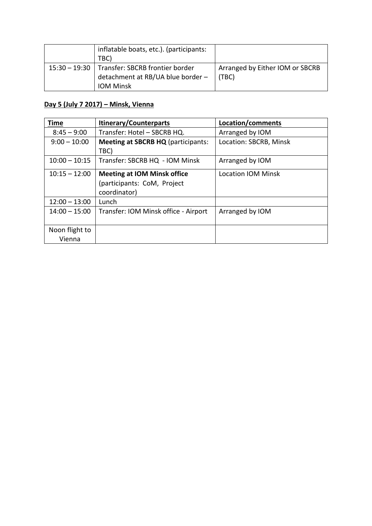| inflatable boats, etc.). (participants:         |                                 |
|-------------------------------------------------|---------------------------------|
| TBC)                                            |                                 |
| 15:30 - 19:30   Transfer: SBCRB frontier border | Arranged by Either IOM or SBCRB |
| detachment at RB/UA blue border -               | l (TBC)                         |
| <b>IOM Minsk</b>                                |                                 |

### **Day 5 (July 7 2017) – Minsk, Vienna**

| <b>Time</b>              | <b>Itinerary/Counterparts</b>                                                     | Location/comments      |
|--------------------------|-----------------------------------------------------------------------------------|------------------------|
| $8:45 - 9:00$            | Transfer: Hotel - SBCRB HQ.                                                       | Arranged by IOM        |
| $9:00 - 10:00$           | <b>Meeting at SBCRB HQ (participants:</b><br>TBC)                                 | Location: SBCRB, Minsk |
| $10:00 - 10:15$          | Transfer: SBCRB HQ - IOM Minsk                                                    | Arranged by IOM        |
| $10:15 - 12:00$          | <b>Meeting at IOM Minsk office</b><br>(participants: CoM, Project<br>coordinator) | Location IOM Minsk     |
| $12:00 - 13:00$          | Lunch                                                                             |                        |
| $14:00 - 15:00$          | Transfer: IOM Minsk office - Airport                                              | Arranged by IOM        |
| Noon flight to<br>Vienna |                                                                                   |                        |